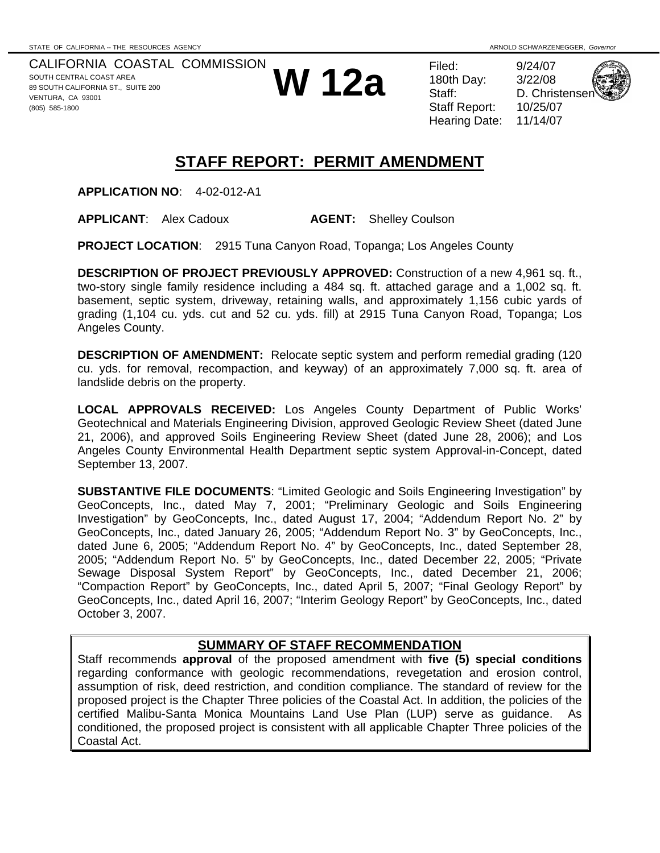CALIFORNIA COASTAL COMMISSION SOUTH CENTRAL COAST AREA 89 SOUTH CALIFORNIA ST., SUITE 200 VENTURA, CA 93001 (805) 585-1800



180th Day: Staff Report: Hearing Date: 11/14/07

D. Christense

# **STAFF REPORT: PERMIT AMENDMENT**

**APPLICATION NO**: 4-02-012-A1

**APPLICANT**: Alex Cadoux **AGENT:** Shelley Coulson

**PROJECT LOCATION**: 2915 Tuna Canyon Road, Topanga; Los Angeles County

**DESCRIPTION OF PROJECT PREVIOUSLY APPROVED:** Construction of a new 4,961 sq. ft., two-story single family residence including a 484 sq. ft. attached garage and a 1,002 sq. ft. basement, septic system, driveway, retaining walls, and approximately 1,156 cubic yards of grading (1,104 cu. yds. cut and 52 cu. yds. fill) at 2915 Tuna Canyon Road, Topanga; Los Angeles County.

**DESCRIPTION OF AMENDMENT:** Relocate septic system and perform remedial grading (120 cu. yds. for removal, recompaction, and keyway) of an approximately 7,000 sq. ft. area of landslide debris on the property.

**LOCAL APPROVALS RECEIVED:** Los Angeles County Department of Public Works' Geotechnical and Materials Engineering Division, approved Geologic Review Sheet (dated June 21, 2006), and approved Soils Engineering Review Sheet (dated June 28, 2006); and Los Angeles County Environmental Health Department septic system Approval-in-Concept, dated September 13, 2007.

**SUBSTANTIVE FILE DOCUMENTS**: "Limited Geologic and Soils Engineering Investigation" by GeoConcepts, Inc., dated May 7, 2001; "Preliminary Geologic and Soils Engineering Investigation" by GeoConcepts, Inc., dated August 17, 2004; "Addendum Report No. 2" by GeoConcepts, Inc., dated January 26, 2005; "Addendum Report No. 3" by GeoConcepts, Inc., dated June 6, 2005; "Addendum Report No. 4" by GeoConcepts, Inc., dated September 28, 2005; "Addendum Report No. 5" by GeoConcepts, Inc., dated December 22, 2005; "Private Sewage Disposal System Report" by GeoConcepts, Inc., dated December 21, 2006; "Compaction Report" by GeoConcepts, Inc., dated April 5, 2007; "Final Geology Report" by GeoConcepts, Inc., dated April 16, 2007; "Interim Geology Report" by GeoConcepts, Inc., dated October 3, 2007.

## **SUMMARY OF STAFF RECOMMENDATION**

Staff recommends **approval** of the proposed amendment with **five (5) special conditions** regarding conformance with geologic recommendations, revegetation and erosion control, assumption of risk, deed restriction, and condition compliance. The standard of review for the proposed project is the Chapter Three policies of the Coastal Act. In addition, the policies of the certified Malibu-Santa Monica Mountains Land Use Plan (LUP) serve as guidance. As conditioned, the proposed project is consistent with all applicable Chapter Three policies of the Coastal Act.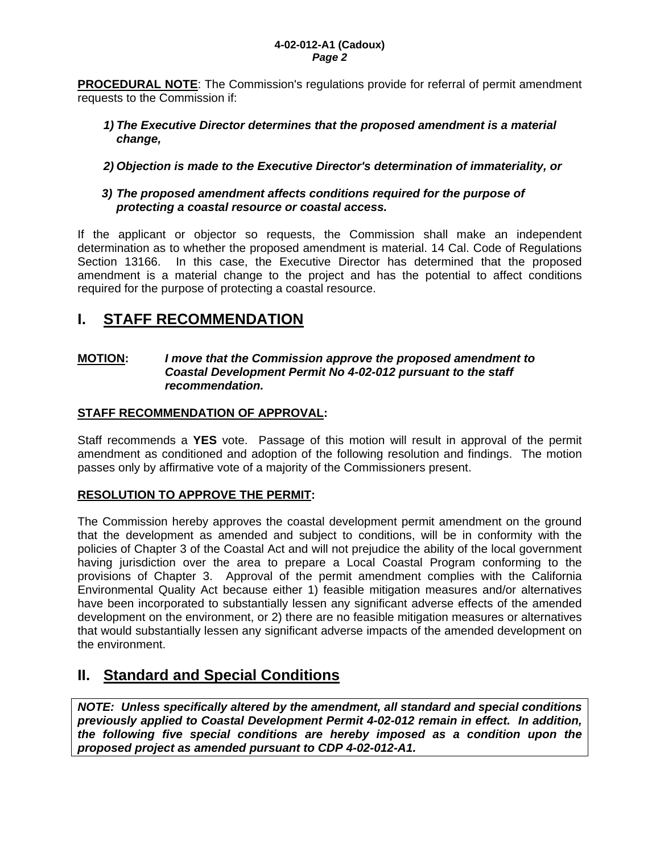**PROCEDURAL NOTE**: The Commission's regulations provide for referral of permit amendment requests to the Commission if:

#### *1) The Executive Director determines that the proposed amendment is a material change,*

### *2) Objection is made to the Executive Director's determination of immateriality, or*

#### *3) The proposed amendment affects conditions required for the purpose of protecting a coastal resource or coastal access.*

If the applicant or objector so requests, the Commission shall make an independent determination as to whether the proposed amendment is material. 14 Cal. Code of Regulations Section 13166. In this case, the Executive Director has determined that the proposed amendment is a material change to the project and has the potential to affect conditions required for the purpose of protecting a coastal resource.

# **I. STAFF RECOMMENDATION**

#### **MOTION:** *I move that the Commission approve the proposed amendment to Coastal Development Permit No 4-02-012 pursuant to the staff recommendation.*

### **STAFF RECOMMENDATION OF APPROVAL:**

Staff recommends a **YES** vote. Passage of this motion will result in approval of the permit amendment as conditioned and adoption of the following resolution and findings. The motion passes only by affirmative vote of a majority of the Commissioners present.

## **RESOLUTION TO APPROVE THE PERMIT:**

The Commission hereby approves the coastal development permit amendment on the ground that the development as amended and subject to conditions, will be in conformity with the policies of Chapter 3 of the Coastal Act and will not prejudice the ability of the local government having jurisdiction over the area to prepare a Local Coastal Program conforming to the provisions of Chapter 3. Approval of the permit amendment complies with the California Environmental Quality Act because either 1) feasible mitigation measures and/or alternatives have been incorporated to substantially lessen any significant adverse effects of the amended development on the environment, or 2) there are no feasible mitigation measures or alternatives that would substantially lessen any significant adverse impacts of the amended development on the environment.

## **II. Standard and Special Conditions**

*NOTE: Unless specifically altered by the amendment, all standard and special conditions previously applied to Coastal Development Permit 4-02-012 remain in effect. In addition, the following five special conditions are hereby imposed as a condition upon the proposed project as amended pursuant to CDP 4-02-012-A1.*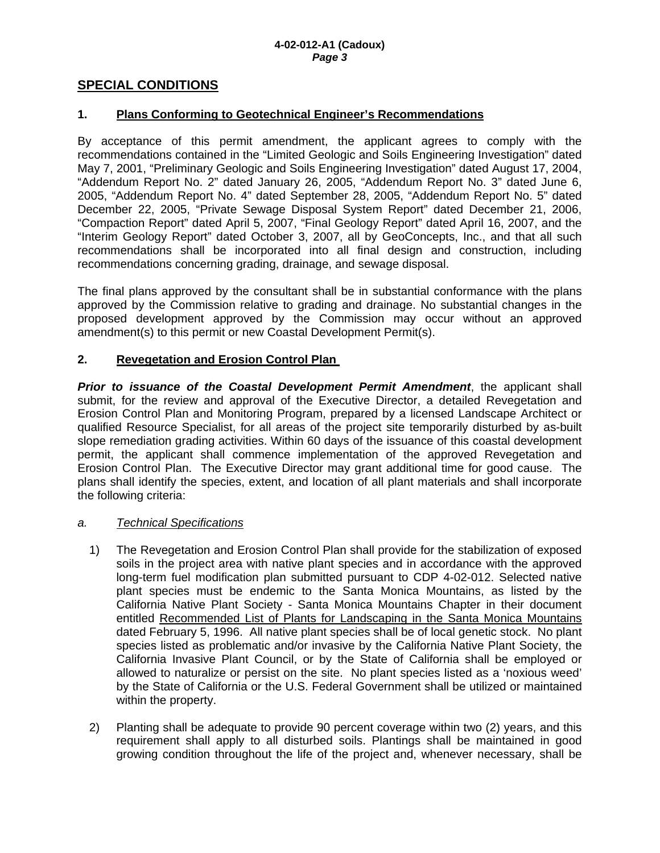#### **SPECIAL CONDITIONS**

#### **1. Plans Conforming to Geotechnical Engineer's Recommendations**

By acceptance of this permit amendment, the applicant agrees to comply with the recommendations contained in the "Limited Geologic and Soils Engineering Investigation" dated May 7, 2001, "Preliminary Geologic and Soils Engineering Investigation" dated August 17, 2004, "Addendum Report No. 2" dated January 26, 2005, "Addendum Report No. 3" dated June 6, 2005, "Addendum Report No. 4" dated September 28, 2005, "Addendum Report No. 5" dated December 22, 2005, "Private Sewage Disposal System Report" dated December 21, 2006, "Compaction Report" dated April 5, 2007, "Final Geology Report" dated April 16, 2007, and the "Interim Geology Report" dated October 3, 2007, all by GeoConcepts, Inc., and that all such recommendations shall be incorporated into all final design and construction, including recommendations concerning grading, drainage, and sewage disposal.

The final plans approved by the consultant shall be in substantial conformance with the plans approved by the Commission relative to grading and drainage. No substantial changes in the proposed development approved by the Commission may occur without an approved amendment(s) to this permit or new Coastal Development Permit(s).

#### **2. Revegetation and Erosion Control Plan**

*Prior to issuance of the Coastal Development Permit Amendment*, the applicant shall submit, for the review and approval of the Executive Director, a detailed Revegetation and Erosion Control Plan and Monitoring Program, prepared by a licensed Landscape Architect or qualified Resource Specialist, for all areas of the project site temporarily disturbed by as-built slope remediation grading activities. Within 60 days of the issuance of this coastal development permit, the applicant shall commence implementation of the approved Revegetation and Erosion Control Plan. The Executive Director may grant additional time for good cause. The plans shall identify the species, extent, and location of all plant materials and shall incorporate the following criteria:

#### *a. Technical Specifications*

- 1) The Revegetation and Erosion Control Plan shall provide for the stabilization of exposed soils in the project area with native plant species and in accordance with the approved long-term fuel modification plan submitted pursuant to CDP 4-02-012. Selected native plant species must be endemic to the Santa Monica Mountains, as listed by the California Native Plant Society - Santa Monica Mountains Chapter in their document entitled Recommended List of Plants for Landscaping in the Santa Monica Mountains dated February 5, 1996. All native plant species shall be of local genetic stock. No plant species listed as problematic and/or invasive by the California Native Plant Society, the California Invasive Plant Council, or by the State of California shall be employed or allowed to naturalize or persist on the site. No plant species listed as a 'noxious weed' by the State of California or the U.S. Federal Government shall be utilized or maintained within the property.
- 2) Planting shall be adequate to provide 90 percent coverage within two (2) years, and this requirement shall apply to all disturbed soils. Plantings shall be maintained in good growing condition throughout the life of the project and, whenever necessary, shall be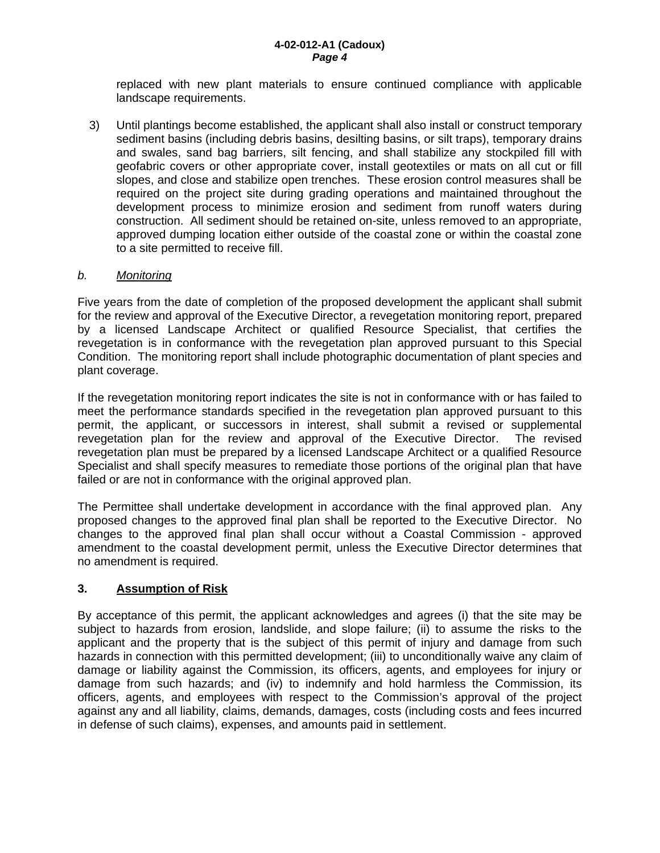replaced with new plant materials to ensure continued compliance with applicable landscape requirements.

3) Until plantings become established, the applicant shall also install or construct temporary sediment basins (including debris basins, desilting basins, or silt traps), temporary drains and swales, sand bag barriers, silt fencing, and shall stabilize any stockpiled fill with geofabric covers or other appropriate cover, install geotextiles or mats on all cut or fill slopes, and close and stabilize open trenches. These erosion control measures shall be required on the project site during grading operations and maintained throughout the development process to minimize erosion and sediment from runoff waters during construction. All sediment should be retained on-site, unless removed to an appropriate, approved dumping location either outside of the coastal zone or within the coastal zone to a site permitted to receive fill.

#### *b. Monitoring*

Five years from the date of completion of the proposed development the applicant shall submit for the review and approval of the Executive Director, a revegetation monitoring report, prepared by a licensed Landscape Architect or qualified Resource Specialist, that certifies the revegetation is in conformance with the revegetation plan approved pursuant to this Special Condition. The monitoring report shall include photographic documentation of plant species and plant coverage.

If the revegetation monitoring report indicates the site is not in conformance with or has failed to meet the performance standards specified in the revegetation plan approved pursuant to this permit, the applicant, or successors in interest, shall submit a revised or supplemental revegetation plan for the review and approval of the Executive Director. The revised revegetation plan must be prepared by a licensed Landscape Architect or a qualified Resource Specialist and shall specify measures to remediate those portions of the original plan that have failed or are not in conformance with the original approved plan.

The Permittee shall undertake development in accordance with the final approved plan. Any proposed changes to the approved final plan shall be reported to the Executive Director. No changes to the approved final plan shall occur without a Coastal Commission - approved amendment to the coastal development permit, unless the Executive Director determines that no amendment is required.

#### **3. Assumption of Risk**

By acceptance of this permit, the applicant acknowledges and agrees (i) that the site may be subject to hazards from erosion, landslide, and slope failure; (ii) to assume the risks to the applicant and the property that is the subject of this permit of injury and damage from such hazards in connection with this permitted development; (iii) to unconditionally waive any claim of damage or liability against the Commission, its officers, agents, and employees for injury or damage from such hazards; and (iv) to indemnify and hold harmless the Commission, its officers, agents, and employees with respect to the Commission's approval of the project against any and all liability, claims, demands, damages, costs (including costs and fees incurred in defense of such claims), expenses, and amounts paid in settlement.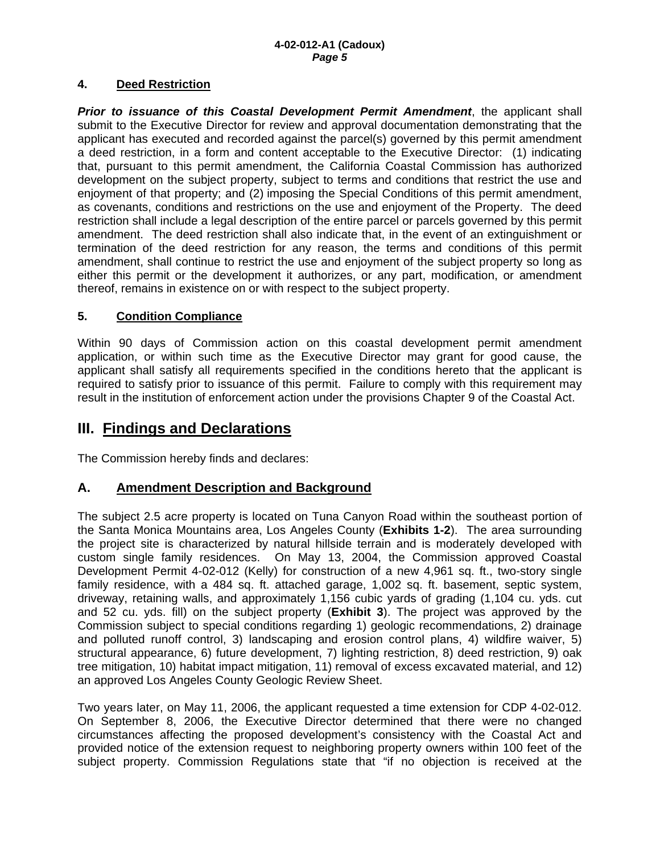#### **4. Deed Restriction**

*Prior to issuance of this Coastal Development Permit Amendment*, the applicant shall submit to the Executive Director for review and approval documentation demonstrating that the applicant has executed and recorded against the parcel(s) governed by this permit amendment a deed restriction, in a form and content acceptable to the Executive Director: (1) indicating that, pursuant to this permit amendment, the California Coastal Commission has authorized development on the subject property, subject to terms and conditions that restrict the use and enjoyment of that property; and (2) imposing the Special Conditions of this permit amendment, as covenants, conditions and restrictions on the use and enjoyment of the Property. The deed restriction shall include a legal description of the entire parcel or parcels governed by this permit amendment. The deed restriction shall also indicate that, in the event of an extinguishment or termination of the deed restriction for any reason, the terms and conditions of this permit amendment, shall continue to restrict the use and enjoyment of the subject property so long as either this permit or the development it authorizes, or any part, modification, or amendment thereof, remains in existence on or with respect to the subject property.

#### **5. Condition Compliance**

Within 90 days of Commission action on this coastal development permit amendment application, or within such time as the Executive Director may grant for good cause, the applicant shall satisfy all requirements specified in the conditions hereto that the applicant is required to satisfy prior to issuance of this permit. Failure to comply with this requirement may result in the institution of enforcement action under the provisions Chapter 9 of the Coastal Act.

## **III. Findings and Declarations**

The Commission hereby finds and declares:

## **A. Amendment Description and Background**

The subject 2.5 acre property is located on Tuna Canyon Road within the southeast portion of the Santa Monica Mountains area, Los Angeles County (**Exhibits 1-2**). The area surrounding the project site is characterized by natural hillside terrain and is moderately developed with custom single family residences. On May 13, 2004, the Commission approved Coastal Development Permit 4-02-012 (Kelly) for construction of a new 4,961 sq. ft., two-story single family residence, with a 484 sq. ft. attached garage, 1,002 sq. ft. basement, septic system, driveway, retaining walls, and approximately 1,156 cubic yards of grading (1,104 cu. yds. cut and 52 cu. yds. fill) on the subject property (**Exhibit 3**). The project was approved by the Commission subject to special conditions regarding 1) geologic recommendations, 2) drainage and polluted runoff control, 3) landscaping and erosion control plans, 4) wildfire waiver, 5) structural appearance, 6) future development, 7) lighting restriction, 8) deed restriction, 9) oak tree mitigation, 10) habitat impact mitigation, 11) removal of excess excavated material, and 12) an approved Los Angeles County Geologic Review Sheet.

Two years later, on May 11, 2006, the applicant requested a time extension for CDP 4-02-012. On September 8, 2006, the Executive Director determined that there were no changed circumstances affecting the proposed development's consistency with the Coastal Act and provided notice of the extension request to neighboring property owners within 100 feet of the subject property. Commission Regulations state that "if no objection is received at the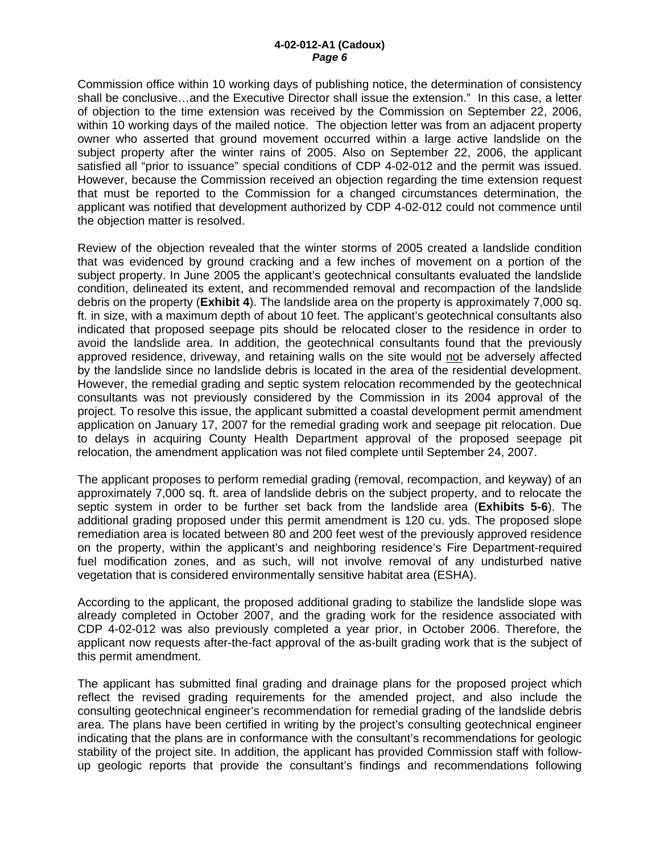#### **4-02-012-A1 (Cadoux)**  *Page 6*

Commission office within 10 working days of publishing notice, the determination of consistency shall be conclusive…and the Executive Director shall issue the extension." In this case, a letter of objection to the time extension was received by the Commission on September 22, 2006, within 10 working days of the mailed notice. The objection letter was from an adjacent property owner who asserted that ground movement occurred within a large active landslide on the subject property after the winter rains of 2005. Also on September 22, 2006, the applicant satisfied all "prior to issuance" special conditions of CDP 4-02-012 and the permit was issued. However, because the Commission received an objection regarding the time extension request that must be reported to the Commission for a changed circumstances determination, the applicant was notified that development authorized by CDP 4-02-012 could not commence until the objection matter is resolved.

Review of the objection revealed that the winter storms of 2005 created a landslide condition that was evidenced by ground cracking and a few inches of movement on a portion of the subject property. In June 2005 the applicant's geotechnical consultants evaluated the landslide condition, delineated its extent, and recommended removal and recompaction of the landslide debris on the property (**Exhibit 4**). The landslide area on the property is approximately 7,000 sq. ft. in size, with a maximum depth of about 10 feet. The applicant's geotechnical consultants also indicated that proposed seepage pits should be relocated closer to the residence in order to avoid the landslide area. In addition, the geotechnical consultants found that the previously approved residence, driveway, and retaining walls on the site would not be adversely affected by the landslide since no landslide debris is located in the area of the residential development. However, the remedial grading and septic system relocation recommended by the geotechnical consultants was not previously considered by the Commission in its 2004 approval of the project. To resolve this issue, the applicant submitted a coastal development permit amendment application on January 17, 2007 for the remedial grading work and seepage pit relocation. Due to delays in acquiring County Health Department approval of the proposed seepage pit relocation, the amendment application was not filed complete until September 24, 2007.

The applicant proposes to perform remedial grading (removal, recompaction, and keyway) of an approximately 7,000 sq. ft. area of landslide debris on the subject property, and to relocate the septic system in order to be further set back from the landslide area (**Exhibits 5-6**). The additional grading proposed under this permit amendment is 120 cu. yds. The proposed slope remediation area is located between 80 and 200 feet west of the previously approved residence on the property, within the applicant's and neighboring residence's Fire Department-required fuel modification zones, and as such, will not involve removal of any undisturbed native vegetation that is considered environmentally sensitive habitat area (ESHA).

According to the applicant, the proposed additional grading to stabilize the landslide slope was already completed in October 2007, and the grading work for the residence associated with CDP 4-02-012 was also previously completed a year prior, in October 2006. Therefore, the applicant now requests after-the-fact approval of the as-built grading work that is the subject of this permit amendment.

The applicant has submitted final grading and drainage plans for the proposed project which reflect the revised grading requirements for the amended project, and also include the consulting geotechnical engineer's recommendation for remedial grading of the landslide debris area. The plans have been certified in writing by the project's consulting geotechnical engineer indicating that the plans are in conformance with the consultant's recommendations for geologic stability of the project site. In addition, the applicant has provided Commission staff with followup geologic reports that provide the consultant's findings and recommendations following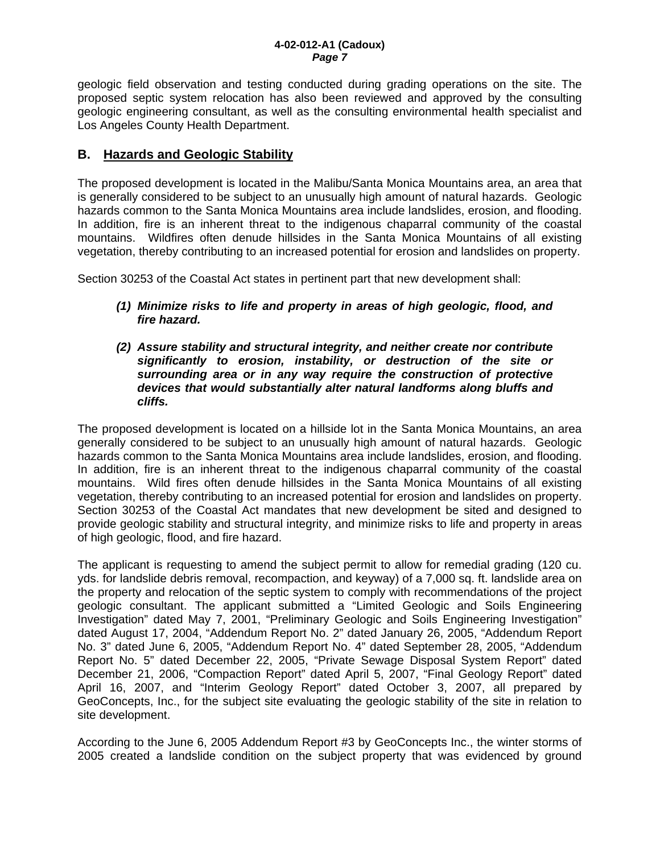geologic field observation and testing conducted during grading operations on the site. The proposed septic system relocation has also been reviewed and approved by the consulting geologic engineering consultant, as well as the consulting environmental health specialist and Los Angeles County Health Department.

## **B. Hazards and Geologic Stability**

The proposed development is located in the Malibu/Santa Monica Mountains area, an area that is generally considered to be subject to an unusually high amount of natural hazards. Geologic hazards common to the Santa Monica Mountains area include landslides, erosion, and flooding. In addition, fire is an inherent threat to the indigenous chaparral community of the coastal mountains. Wildfires often denude hillsides in the Santa Monica Mountains of all existing vegetation, thereby contributing to an increased potential for erosion and landslides on property.

Section 30253 of the Coastal Act states in pertinent part that new development shall:

- *(1) Minimize risks to life and property in areas of high geologic, flood, and fire hazard.*
- *(2) Assure stability and structural integrity, and neither create nor contribute significantly to erosion, instability, or destruction of the site or surrounding area or in any way require the construction of protective devices that would substantially alter natural landforms along bluffs and cliffs.*

The proposed development is located on a hillside lot in the Santa Monica Mountains, an area generally considered to be subject to an unusually high amount of natural hazards. Geologic hazards common to the Santa Monica Mountains area include landslides, erosion, and flooding. In addition, fire is an inherent threat to the indigenous chaparral community of the coastal mountains. Wild fires often denude hillsides in the Santa Monica Mountains of all existing vegetation, thereby contributing to an increased potential for erosion and landslides on property. Section 30253 of the Coastal Act mandates that new development be sited and designed to provide geologic stability and structural integrity, and minimize risks to life and property in areas of high geologic, flood, and fire hazard.

The applicant is requesting to amend the subject permit to allow for remedial grading (120 cu. yds. for landslide debris removal, recompaction, and keyway) of a 7,000 sq. ft. landslide area on the property and relocation of the septic system to comply with recommendations of the project geologic consultant. The applicant submitted a "Limited Geologic and Soils Engineering Investigation" dated May 7, 2001, "Preliminary Geologic and Soils Engineering Investigation" dated August 17, 2004, "Addendum Report No. 2" dated January 26, 2005, "Addendum Report No. 3" dated June 6, 2005, "Addendum Report No. 4" dated September 28, 2005, "Addendum Report No. 5" dated December 22, 2005, "Private Sewage Disposal System Report" dated December 21, 2006, "Compaction Report" dated April 5, 2007, "Final Geology Report" dated April 16, 2007, and "Interim Geology Report" dated October 3, 2007, all prepared by GeoConcepts, Inc., for the subject site evaluating the geologic stability of the site in relation to site development.

According to the June 6, 2005 Addendum Report #3 by GeoConcepts Inc., the winter storms of 2005 created a landslide condition on the subject property that was evidenced by ground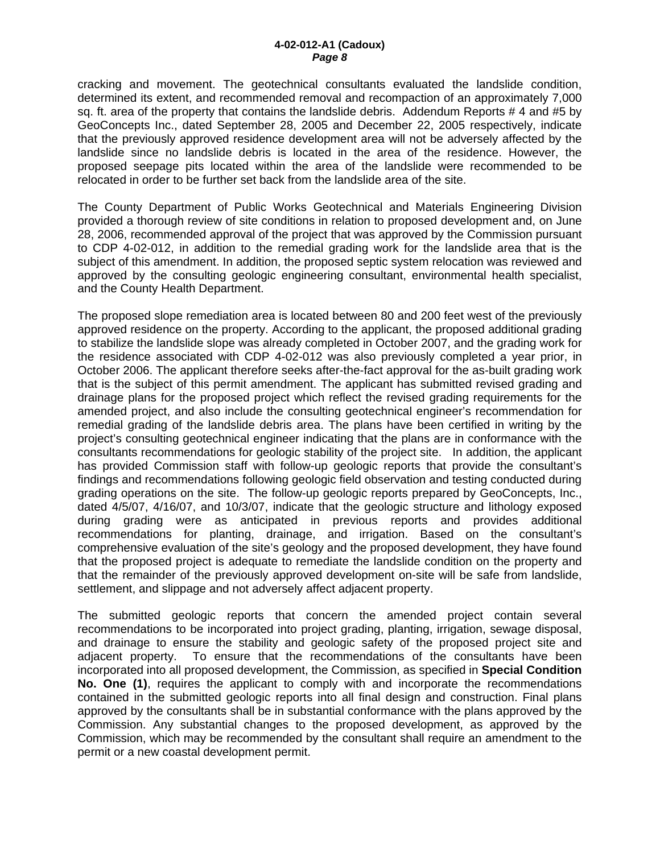cracking and movement. The geotechnical consultants evaluated the landslide condition, determined its extent, and recommended removal and recompaction of an approximately 7,000 sq. ft. area of the property that contains the landslide debris. Addendum Reports # 4 and #5 by GeoConcepts Inc., dated September 28, 2005 and December 22, 2005 respectively, indicate that the previously approved residence development area will not be adversely affected by the landslide since no landslide debris is located in the area of the residence. However, the proposed seepage pits located within the area of the landslide were recommended to be relocated in order to be further set back from the landslide area of the site.

The County Department of Public Works Geotechnical and Materials Engineering Division provided a thorough review of site conditions in relation to proposed development and, on June 28, 2006, recommended approval of the project that was approved by the Commission pursuant to CDP 4-02-012, in addition to the remedial grading work for the landslide area that is the subject of this amendment. In addition, the proposed septic system relocation was reviewed and approved by the consulting geologic engineering consultant, environmental health specialist, and the County Health Department.

The proposed slope remediation area is located between 80 and 200 feet west of the previously approved residence on the property. According to the applicant, the proposed additional grading to stabilize the landslide slope was already completed in October 2007, and the grading work for the residence associated with CDP 4-02-012 was also previously completed a year prior, in October 2006. The applicant therefore seeks after-the-fact approval for the as-built grading work that is the subject of this permit amendment. The applicant has submitted revised grading and drainage plans for the proposed project which reflect the revised grading requirements for the amended project, and also include the consulting geotechnical engineer's recommendation for remedial grading of the landslide debris area. The plans have been certified in writing by the project's consulting geotechnical engineer indicating that the plans are in conformance with the consultants recommendations for geologic stability of the project site. In addition, the applicant has provided Commission staff with follow-up geologic reports that provide the consultant's findings and recommendations following geologic field observation and testing conducted during grading operations on the site. The follow-up geologic reports prepared by GeoConcepts, Inc., dated 4/5/07, 4/16/07, and 10/3/07, indicate that the geologic structure and lithology exposed during grading were as anticipated in previous reports and provides additional recommendations for planting, drainage, and irrigation. Based on the consultant's comprehensive evaluation of the site's geology and the proposed development, they have found that the proposed project is adequate to remediate the landslide condition on the property and that the remainder of the previously approved development on-site will be safe from landslide, settlement, and slippage and not adversely affect adjacent property.

The submitted geologic reports that concern the amended project contain several recommendations to be incorporated into project grading, planting, irrigation, sewage disposal, and drainage to ensure the stability and geologic safety of the proposed project site and adjacent property. To ensure that the recommendations of the consultants have been incorporated into all proposed development, the Commission, as specified in **Special Condition No. One (1)**, requires the applicant to comply with and incorporate the recommendations contained in the submitted geologic reports into all final design and construction. Final plans approved by the consultants shall be in substantial conformance with the plans approved by the Commission. Any substantial changes to the proposed development, as approved by the Commission, which may be recommended by the consultant shall require an amendment to the permit or a new coastal development permit.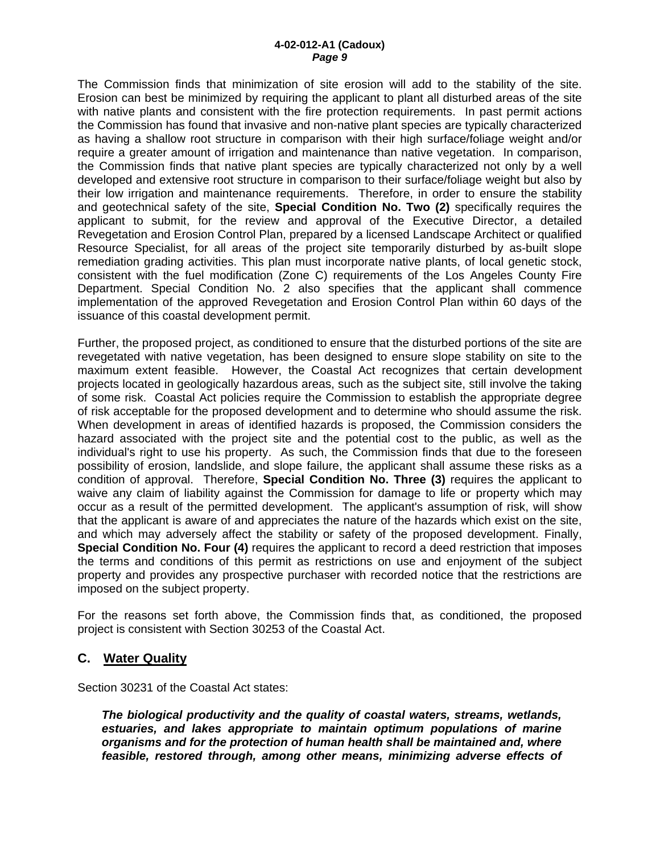#### **4-02-012-A1 (Cadoux)**  *Page 9*

The Commission finds that minimization of site erosion will add to the stability of the site. Erosion can best be minimized by requiring the applicant to plant all disturbed areas of the site with native plants and consistent with the fire protection requirements. In past permit actions the Commission has found that invasive and non-native plant species are typically characterized as having a shallow root structure in comparison with their high surface/foliage weight and/or require a greater amount of irrigation and maintenance than native vegetation. In comparison, the Commission finds that native plant species are typically characterized not only by a well developed and extensive root structure in comparison to their surface/foliage weight but also by their low irrigation and maintenance requirements. Therefore, in order to ensure the stability and geotechnical safety of the site, **Special Condition No. Two (2)** specifically requires the applicant to submit, for the review and approval of the Executive Director, a detailed Revegetation and Erosion Control Plan, prepared by a licensed Landscape Architect or qualified Resource Specialist, for all areas of the project site temporarily disturbed by as-built slope remediation grading activities. This plan must incorporate native plants, of local genetic stock, consistent with the fuel modification (Zone C) requirements of the Los Angeles County Fire Department. Special Condition No. 2 also specifies that the applicant shall commence implementation of the approved Revegetation and Erosion Control Plan within 60 days of the issuance of this coastal development permit.

Further, the proposed project, as conditioned to ensure that the disturbed portions of the site are revegetated with native vegetation, has been designed to ensure slope stability on site to the maximum extent feasible. However, the Coastal Act recognizes that certain development projects located in geologically hazardous areas, such as the subject site, still involve the taking of some risk. Coastal Act policies require the Commission to establish the appropriate degree of risk acceptable for the proposed development and to determine who should assume the risk. When development in areas of identified hazards is proposed, the Commission considers the hazard associated with the project site and the potential cost to the public, as well as the individual's right to use his property. As such, the Commission finds that due to the foreseen possibility of erosion, landslide, and slope failure, the applicant shall assume these risks as a condition of approval. Therefore, **Special Condition No. Three (3)** requires the applicant to waive any claim of liability against the Commission for damage to life or property which may occur as a result of the permitted development. The applicant's assumption of risk, will show that the applicant is aware of and appreciates the nature of the hazards which exist on the site, and which may adversely affect the stability or safety of the proposed development. Finally, **Special Condition No. Four (4)** requires the applicant to record a deed restriction that imposes the terms and conditions of this permit as restrictions on use and enjoyment of the subject property and provides any prospective purchaser with recorded notice that the restrictions are imposed on the subject property.

For the reasons set forth above, the Commission finds that, as conditioned, the proposed project is consistent with Section 30253 of the Coastal Act.

#### **C. Water Quality**

Section 30231 of the Coastal Act states:

*The biological productivity and the quality of coastal waters, streams, wetlands, estuaries, and lakes appropriate to maintain optimum populations of marine organisms and for the protection of human health shall be maintained and, where feasible, restored through, among other means, minimizing adverse effects of*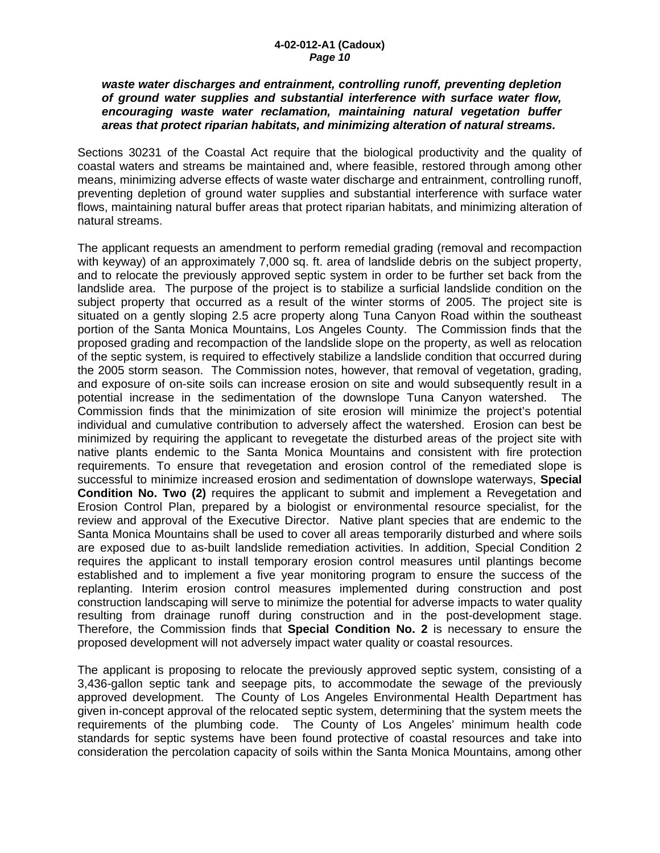#### *waste water discharges and entrainment, controlling runoff, preventing depletion of ground water supplies and substantial interference with surface water flow, encouraging waste water reclamation, maintaining natural vegetation buffer areas that protect riparian habitats, and minimizing alteration of natural streams.*

Sections 30231 of the Coastal Act require that the biological productivity and the quality of coastal waters and streams be maintained and, where feasible, restored through among other means, minimizing adverse effects of waste water discharge and entrainment, controlling runoff, preventing depletion of ground water supplies and substantial interference with surface water flows, maintaining natural buffer areas that protect riparian habitats, and minimizing alteration of natural streams.

The applicant requests an amendment to perform remedial grading (removal and recompaction with keyway) of an approximately 7,000 sq. ft. area of landslide debris on the subject property, and to relocate the previously approved septic system in order to be further set back from the landslide area. The purpose of the project is to stabilize a surficial landslide condition on the subject property that occurred as a result of the winter storms of 2005. The project site is situated on a gently sloping 2.5 acre property along Tuna Canyon Road within the southeast portion of the Santa Monica Mountains, Los Angeles County. The Commission finds that the proposed grading and recompaction of the landslide slope on the property, as well as relocation of the septic system, is required to effectively stabilize a landslide condition that occurred during the 2005 storm season. The Commission notes, however, that removal of vegetation, grading, and exposure of on-site soils can increase erosion on site and would subsequently result in a potential increase in the sedimentation of the downslope Tuna Canyon watershed. The Commission finds that the minimization of site erosion will minimize the project's potential individual and cumulative contribution to adversely affect the watershed. Erosion can best be minimized by requiring the applicant to revegetate the disturbed areas of the project site with native plants endemic to the Santa Monica Mountains and consistent with fire protection requirements. To ensure that revegetation and erosion control of the remediated slope is successful to minimize increased erosion and sedimentation of downslope waterways, **Special Condition No. Two (2)** requires the applicant to submit and implement a Revegetation and Erosion Control Plan, prepared by a biologist or environmental resource specialist, for the review and approval of the Executive Director. Native plant species that are endemic to the Santa Monica Mountains shall be used to cover all areas temporarily disturbed and where soils are exposed due to as-built landslide remediation activities. In addition, Special Condition 2 requires the applicant to install temporary erosion control measures until plantings become established and to implement a five year monitoring program to ensure the success of the replanting. Interim erosion control measures implemented during construction and post construction landscaping will serve to minimize the potential for adverse impacts to water quality resulting from drainage runoff during construction and in the post-development stage. Therefore, the Commission finds that **Special Condition No. 2** is necessary to ensure the proposed development will not adversely impact water quality or coastal resources.

The applicant is proposing to relocate the previously approved septic system, consisting of a 3,436-gallon septic tank and seepage pits, to accommodate the sewage of the previously approved development. The County of Los Angeles Environmental Health Department has given in-concept approval of the relocated septic system, determining that the system meets the requirements of the plumbing code. The County of Los Angeles' minimum health code standards for septic systems have been found protective of coastal resources and take into consideration the percolation capacity of soils within the Santa Monica Mountains, among other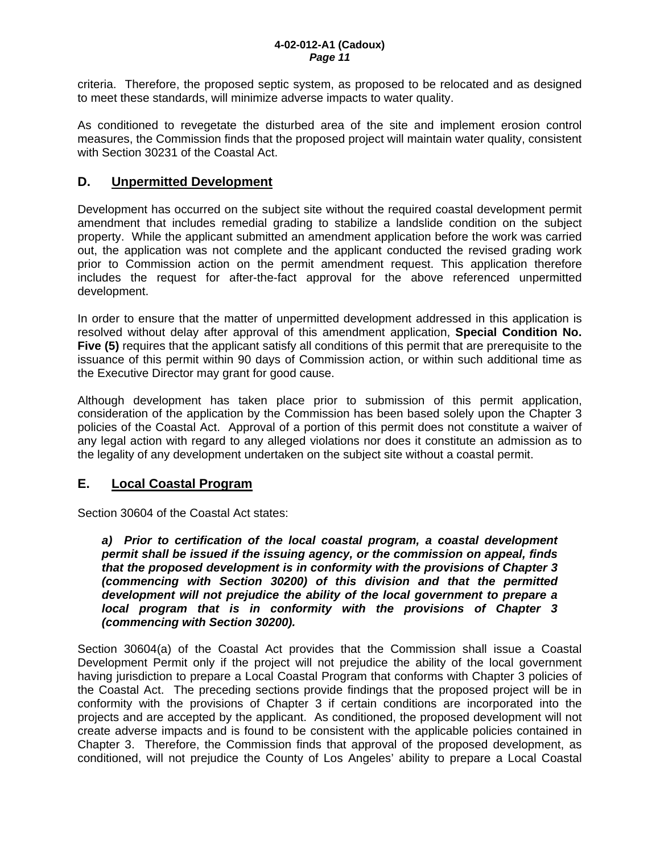criteria. Therefore, the proposed septic system, as proposed to be relocated and as designed to meet these standards, will minimize adverse impacts to water quality.

As conditioned to revegetate the disturbed area of the site and implement erosion control measures, the Commission finds that the proposed project will maintain water quality, consistent with Section 30231 of the Coastal Act.

### **D. Unpermitted Development**

Development has occurred on the subject site without the required coastal development permit amendment that includes remedial grading to stabilize a landslide condition on the subject property. While the applicant submitted an amendment application before the work was carried out, the application was not complete and the applicant conducted the revised grading work prior to Commission action on the permit amendment request. This application therefore includes the request for after-the-fact approval for the above referenced unpermitted development.

In order to ensure that the matter of unpermitted development addressed in this application is resolved without delay after approval of this amendment application, **Special Condition No. Five (5)** requires that the applicant satisfy all conditions of this permit that are prerequisite to the issuance of this permit within 90 days of Commission action, or within such additional time as the Executive Director may grant for good cause.

Although development has taken place prior to submission of this permit application, consideration of the application by the Commission has been based solely upon the Chapter 3 policies of the Coastal Act. Approval of a portion of this permit does not constitute a waiver of any legal action with regard to any alleged violations nor does it constitute an admission as to the legality of any development undertaken on the subject site without a coastal permit.

## **E. Local Coastal Program**

Section 30604 of the Coastal Act states:

*a) Prior to certification of the local coastal program, a coastal development permit shall be issued if the issuing agency, or the commission on appeal, finds that the proposed development is in conformity with the provisions of Chapter 3 (commencing with Section 30200) of this division and that the permitted development will not prejudice the ability of the local government to prepare a local program that is in conformity with the provisions of Chapter 3 (commencing with Section 30200).* 

Section 30604(a) of the Coastal Act provides that the Commission shall issue a Coastal Development Permit only if the project will not prejudice the ability of the local government having jurisdiction to prepare a Local Coastal Program that conforms with Chapter 3 policies of the Coastal Act. The preceding sections provide findings that the proposed project will be in conformity with the provisions of Chapter 3 if certain conditions are incorporated into the projects and are accepted by the applicant. As conditioned, the proposed development will not create adverse impacts and is found to be consistent with the applicable policies contained in Chapter 3. Therefore, the Commission finds that approval of the proposed development, as conditioned, will not prejudice the County of Los Angeles' ability to prepare a Local Coastal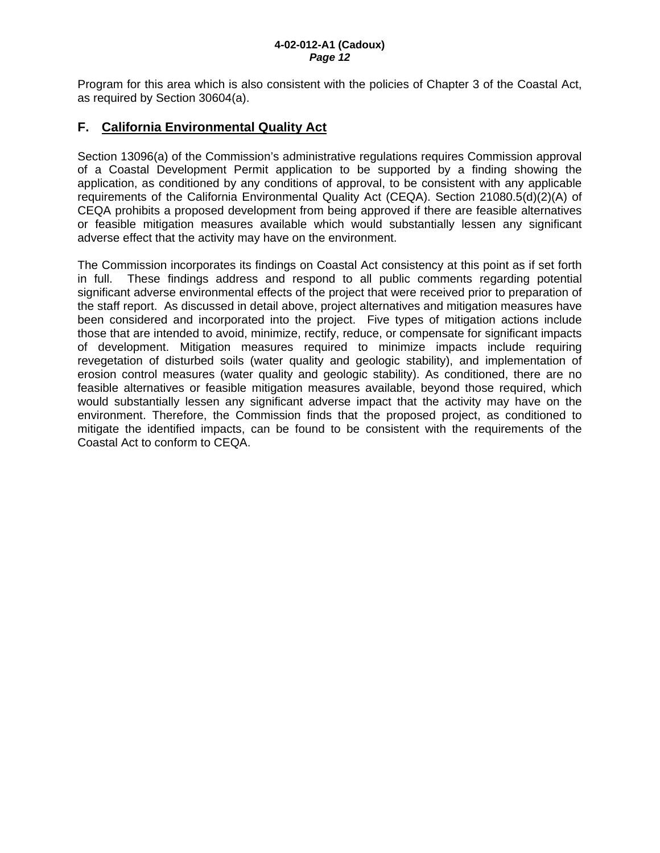Program for this area which is also consistent with the policies of Chapter 3 of the Coastal Act, as required by Section 30604(a).

## **F. California Environmental Quality Act**

Section 13096(a) of the Commission's administrative regulations requires Commission approval of a Coastal Development Permit application to be supported by a finding showing the application, as conditioned by any conditions of approval, to be consistent with any applicable requirements of the California Environmental Quality Act (CEQA). Section 21080.5(d)(2)(A) of CEQA prohibits a proposed development from being approved if there are feasible alternatives or feasible mitigation measures available which would substantially lessen any significant adverse effect that the activity may have on the environment.

The Commission incorporates its findings on Coastal Act consistency at this point as if set forth in full. These findings address and respond to all public comments regarding potential significant adverse environmental effects of the project that were received prior to preparation of the staff report. As discussed in detail above, project alternatives and mitigation measures have been considered and incorporated into the project. Five types of mitigation actions include those that are intended to avoid, minimize, rectify, reduce, or compensate for significant impacts of development. Mitigation measures required to minimize impacts include requiring revegetation of disturbed soils (water quality and geologic stability), and implementation of erosion control measures (water quality and geologic stability). As conditioned, there are no feasible alternatives or feasible mitigation measures available, beyond those required, which would substantially lessen any significant adverse impact that the activity may have on the environment. Therefore, the Commission finds that the proposed project, as conditioned to mitigate the identified impacts, can be found to be consistent with the requirements of the Coastal Act to conform to CEQA.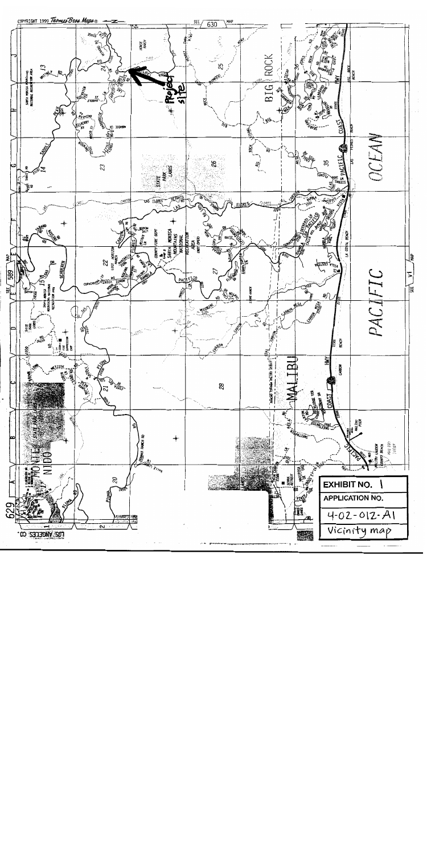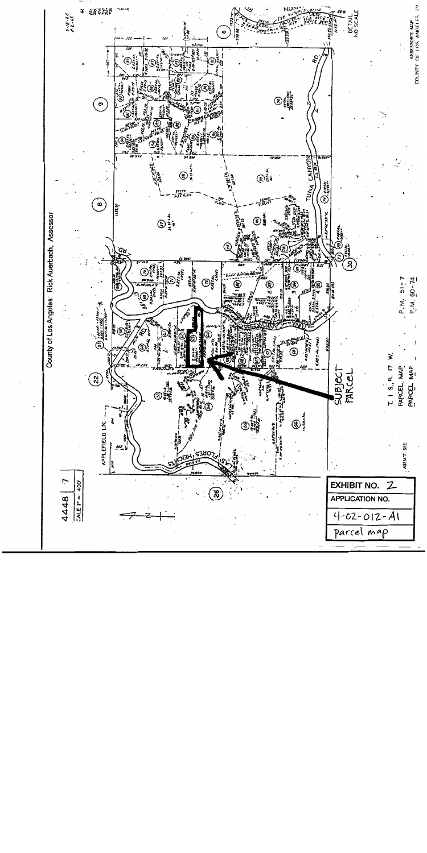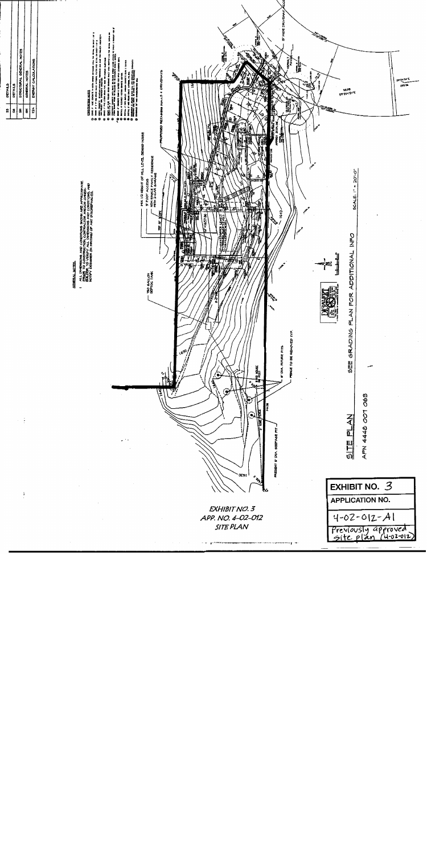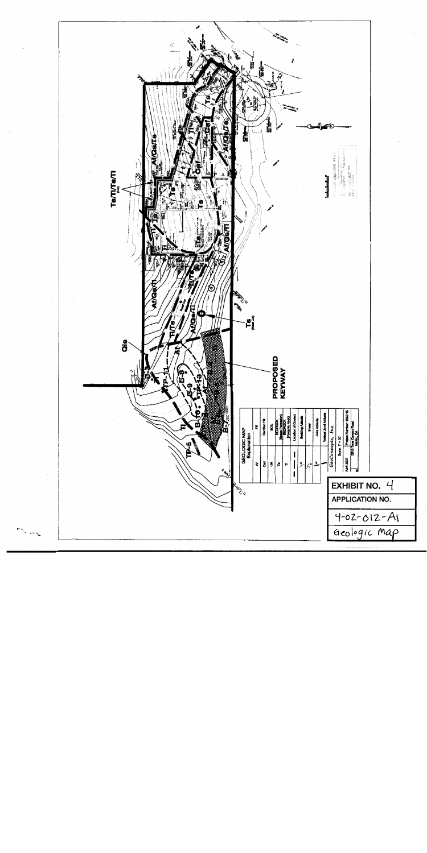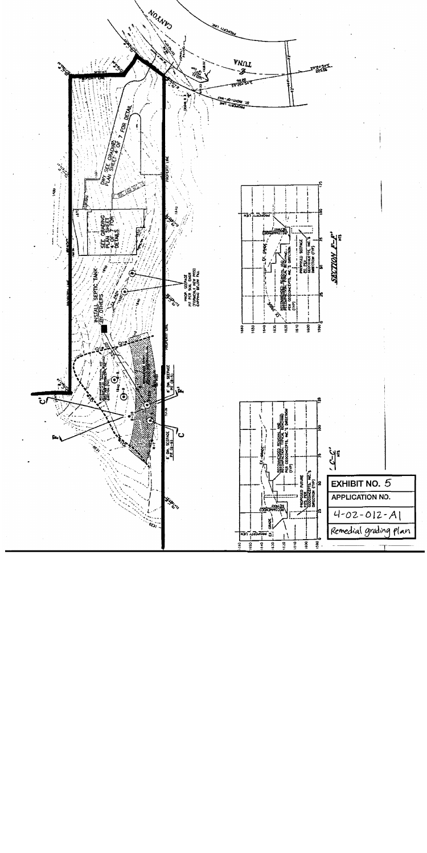